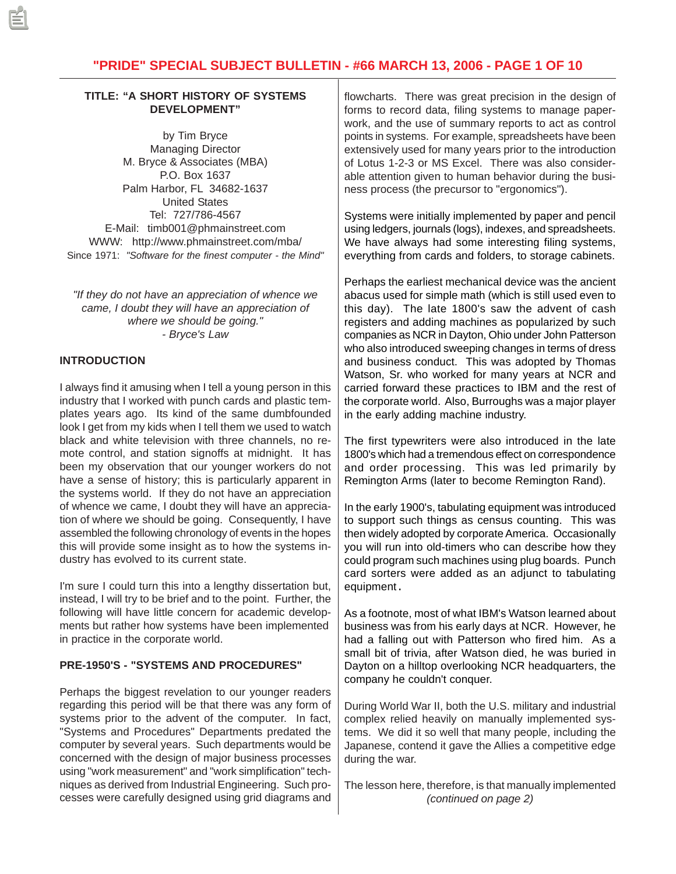# **"PRIDE" SPECIAL SUBJECT BULLETIN - #66 MARCH 13, 2006 - PAGE 1 OF 10**

### **TITLE: "A SHORT HISTORY OF SYSTEMS DEVELOPMENT"**

by Tim Bryce Managing Director M. Bryce & Associates (MBA) P.O. Box 1637 Palm Harbor, FL 34682-1637 United States Tel: 727/786-4567 E-Mail: timb001@phmainstreet.com WWW: http://www.phmainstreet.com/mba/ Since 1971: *"Software for the finest computer - the Mind"*

*"If they do not have an appreciation of whence we came, I doubt they will have an appreciation of where we should be going." - Bryce's Law*

### **INTRODUCTION**

I always find it amusing when I tell a young person in this industry that I worked with punch cards and plastic templates years ago. Its kind of the same dumbfounded look I get from my kids when I tell them we used to watch black and white television with three channels, no remote control, and station signoffs at midnight. It has been my observation that our younger workers do not have a sense of history; this is particularly apparent in the systems world. If they do not have an appreciation of whence we came, I doubt they will have an appreciation of where we should be going. Consequently, I have assembled the following chronology of events in the hopes this will provide some insight as to how the systems industry has evolved to its current state.

I'm sure I could turn this into a lengthy dissertation but, instead, I will try to be brief and to the point. Further, the following will have little concern for academic developments but rather how systems have been implemented in practice in the corporate world.

## **PRE-1950'S - "SYSTEMS AND PROCEDURES"**

Perhaps the biggest revelation to our younger readers regarding this period will be that there was any form of systems prior to the advent of the computer. In fact, "Systems and Procedures" Departments predated the computer by several years. Such departments would be concerned with the design of major business processes using "work measurement" and "work simplification" techniques as derived from Industrial Engineering. Such processes were carefully designed using grid diagrams and

flowcharts. There was great precision in the design of forms to record data, filing systems to manage paperwork, and the use of summary reports to act as control points in systems. For example, spreadsheets have been extensively used for many years prior to the introduction of Lotus 1-2-3 or MS Excel. There was also considerable attention given to human behavior during the business process (the precursor to "ergonomics").

Systems were initially implemented by paper and pencil using ledgers, journals (logs), indexes, and spreadsheets. We have always had some interesting filing systems, everything from cards and folders, to storage cabinets.

Perhaps the earliest mechanical device was the ancient abacus used for simple math (which is still used even to this day). The late 1800's saw the advent of cash registers and adding machines as popularized by such companies as NCR in Dayton, Ohio under John Patterson who also introduced sweeping changes in terms of dress and business conduct. This was adopted by Thomas Watson, Sr. who worked for many years at NCR and carried forward these practices to IBM and the rest of the corporate world. Also, Burroughs was a major player in the early adding machine industry.

The first typewriters were also introduced in the late 1800's which had a tremendous effect on correspondence and order processing. This was led primarily by Remington Arms (later to become Remington Rand).

In the early 1900's, tabulating equipment was introduced to support such things as census counting. This was then widely adopted by corporate America. Occasionally you will run into old-timers who can describe how they could program such machines using plug boards. Punch card sorters were added as an adjunct to tabulating equipment.

As a footnote, most of what IBM's Watson learned about business was from his early days at NCR. However, he had a falling out with Patterson who fired him. As a small bit of trivia, after Watson died, he was buried in Dayton on a hilltop overlooking NCR headquarters, the company he couldn't conquer.

During World War II, both the U.S. military and industrial complex relied heavily on manually implemented systems. We did it so well that many people, including the Japanese, contend it gave the Allies a competitive edge during the war.

The lesson here, therefore, is that manually implemented *(continued on page 2)*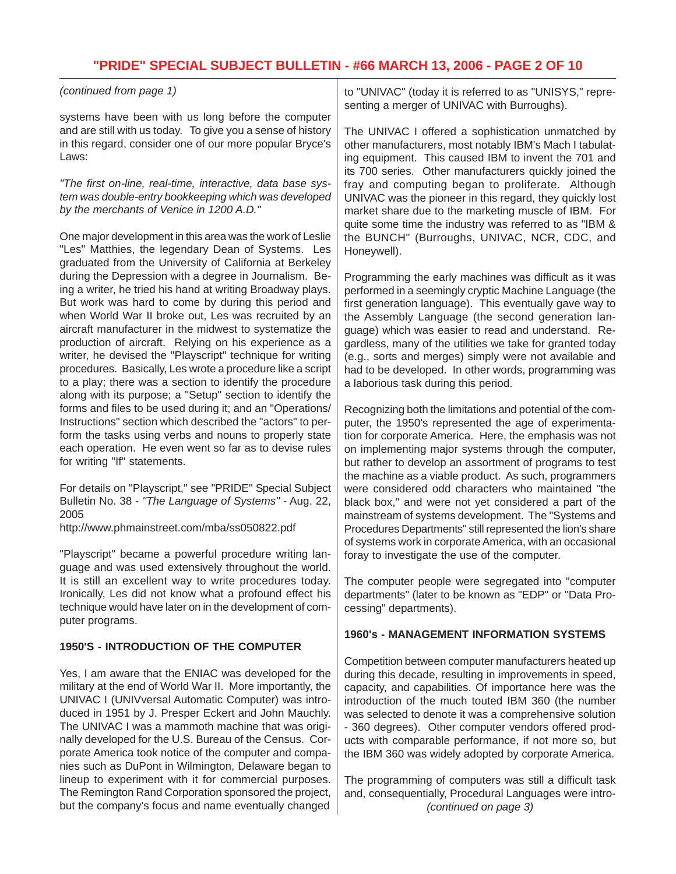## **"PRIDE" SPECIAL SUBJECT BULLETIN - #66 MARCH 13, 2006 - PAGE 2 OF 10**

*(continued from page 1)*

systems have been with us long before the computer and are still with us today. To give you a sense of history in this regard, consider one of our more popular Bryce's Laws:

*"The first on-line, real-time, interactive, data base system was double-entry bookkeeping which was developed by the merchants of Venice in 1200 A.D."*

One major development in this area was the work of Leslie "Les" Matthies, the legendary Dean of Systems. Les graduated from the University of California at Berkeley during the Depression with a degree in Journalism. Being a writer, he tried his hand at writing Broadway plays. But work was hard to come by during this period and when World War II broke out, Les was recruited by an aircraft manufacturer in the midwest to systematize the production of aircraft. Relying on his experience as a writer, he devised the "Playscript" technique for writing procedures. Basically, Les wrote a procedure like a script to a play; there was a section to identify the procedure along with its purpose; a "Setup" section to identify the forms and files to be used during it; and an "Operations/ Instructions" section which described the "actors" to perform the tasks using verbs and nouns to properly state each operation. He even went so far as to devise rules for writing "If" statements.

For details on "Playscript," see "PRIDE" Special Subject Bulletin No. 38 - *"The Language of Systems"* - Aug. 22, 2005

http://www.phmainstreet.com/mba/ss050822.pdf

"Playscript" became a powerful procedure writing language and was used extensively throughout the world. It is still an excellent way to write procedures today. Ironically, Les did not know what a profound effect his technique would have later on in the development of computer programs.

### **1950'S - INTRODUCTION OF THE COMPUTER**

Yes, I am aware that the ENIAC was developed for the military at the end of World War II. More importantly, the UNIVAC I (UNIVversal Automatic Computer) was introduced in 1951 by J. Presper Eckert and John Mauchly. The UNIVAC I was a mammoth machine that was originally developed for the U.S. Bureau of the Census. Corporate America took notice of the computer and companies such as DuPont in Wilmington, Delaware began to lineup to experiment with it for commercial purposes. The Remington Rand Corporation sponsored the project, but the company's focus and name eventually changed

to "UNIVAC" (today it is referred to as "UNISYS," representing a merger of UNIVAC with Burroughs).

The UNIVAC I offered a sophistication unmatched by other manufacturers, most notably IBM's Mach I tabulating equipment. This caused IBM to invent the 701 and its 700 series. Other manufacturers quickly joined the fray and computing began to proliferate. Although UNIVAC was the pioneer in this regard, they quickly lost market share due to the marketing muscle of IBM. For quite some time the industry was referred to as "IBM & the BUNCH" (Burroughs, UNIVAC, NCR, CDC, and Honeywell).

Programming the early machines was difficult as it was performed in a seemingly cryptic Machine Language (the first generation language). This eventually gave way to the Assembly Language (the second generation language) which was easier to read and understand. Regardless, many of the utilities we take for granted today (e.g., sorts and merges) simply were not available and had to be developed. In other words, programming was a laborious task during this period.

Recognizing both the limitations and potential of the computer, the 1950's represented the age of experimentation for corporate America. Here, the emphasis was not on implementing major systems through the computer, but rather to develop an assortment of programs to test the machine as a viable product. As such, programmers were considered odd characters who maintained "the black box," and were not yet considered a part of the mainstream of systems development. The "Systems and Procedures Departments" still represented the lion's share of systems work in corporate America, with an occasional foray to investigate the use of the computer.

The computer people were segregated into "computer departments" (later to be known as "EDP" or "Data Processing" departments).

### **1960's - MANAGEMENT INFORMATION SYSTEMS**

Competition between computer manufacturers heated up during this decade, resulting in improvements in speed, capacity, and capabilities. Of importance here was the introduction of the much touted IBM 360 (the number was selected to denote it was a comprehensive solution - 360 degrees). Other computer vendors offered products with comparable performance, if not more so, but the IBM 360 was widely adopted by corporate America.

The programming of computers was still a difficult task and, consequentially, Procedural Languages were intro- *(continued on page 3)*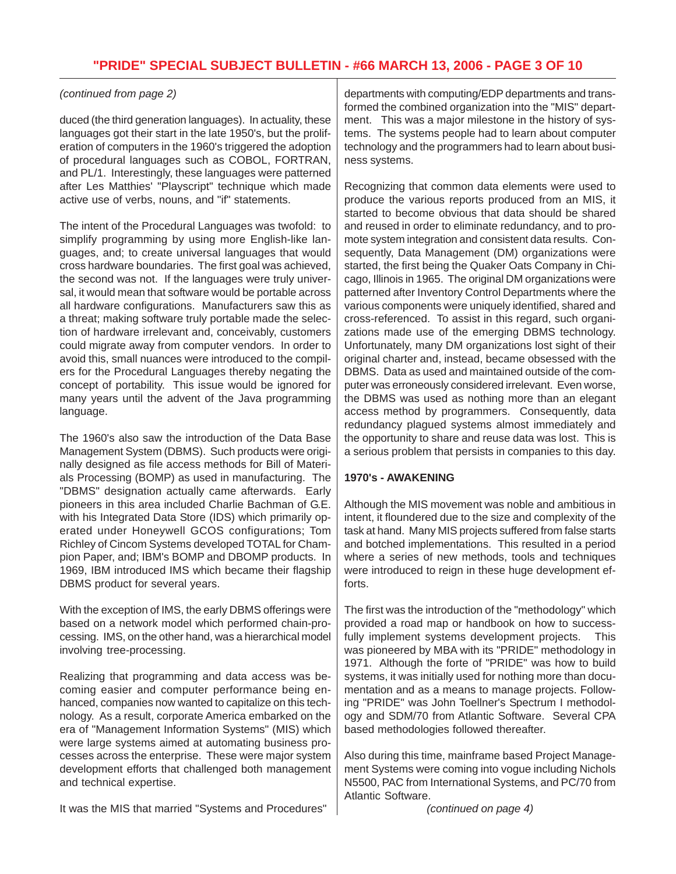## *(continued from page 2)*

duced (the third generation languages). In actuality, these languages got their start in the late 1950's, but the proliferation of computers in the 1960's triggered the adoption of procedural languages such as COBOL, FORTRAN, and PL/1. Interestingly, these languages were patterned after Les Matthies' "Playscript" technique which made active use of verbs, nouns, and "if" statements.

The intent of the Procedural Languages was twofold: to simplify programming by using more English-like languages, and; to create universal languages that would cross hardware boundaries. The first goal was achieved, the second was not. If the languages were truly universal, it would mean that software would be portable across all hardware configurations. Manufacturers saw this as a threat; making software truly portable made the selection of hardware irrelevant and, conceivably, customers could migrate away from computer vendors. In order to avoid this, small nuances were introduced to the compilers for the Procedural Languages thereby negating the concept of portability. This issue would be ignored for many years until the advent of the Java programming language.

The 1960's also saw the introduction of the Data Base Management System (DBMS). Such products were originally designed as file access methods for Bill of Materials Processing (BOMP) as used in manufacturing. The "DBMS" designation actually came afterwards. Early pioneers in this area included Charlie Bachman of G.E. with his Integrated Data Store (IDS) which primarily operated under Honeywell GCOS configurations; Tom Richley of Cincom Systems developed TOTAL for Champion Paper, and; IBM's BOMP and DBOMP products. In 1969, IBM introduced IMS which became their flagship DBMS product for several years.

With the exception of IMS, the early DBMS offerings were based on a network model which performed chain-processing. IMS, on the other hand, was a hierarchical model involving tree-processing.

Realizing that programming and data access was becoming easier and computer performance being enhanced, companies now wanted to capitalize on this technology. As a result, corporate America embarked on the era of "Management Information Systems" (MIS) which were large systems aimed at automating business processes across the enterprise. These were major system development efforts that challenged both management and technical expertise.

It was the MIS that married "Systems and Procedures"

departments with computing/EDP departments and transformed the combined organization into the "MIS" department. This was a major milestone in the history of systems. The systems people had to learn about computer technology and the programmers had to learn about business systems.

Recognizing that common data elements were used to produce the various reports produced from an MIS, it started to become obvious that data should be shared and reused in order to eliminate redundancy, and to promote system integration and consistent data results. Consequently, Data Management (DM) organizations were started, the first being the Quaker Oats Company in Chicago, Illinois in 1965. The original DM organizations were patterned after Inventory Control Departments where the various components were uniquely identified, shared and cross-referenced. To assist in this regard, such organizations made use of the emerging DBMS technology. Unfortunately, many DM organizations lost sight of their original charter and, instead, became obsessed with the DBMS. Data as used and maintained outside of the computer was erroneously considered irrelevant. Even worse, the DBMS was used as nothing more than an elegant access method by programmers. Consequently, data redundancy plagued systems almost immediately and the opportunity to share and reuse data was lost. This is a serious problem that persists in companies to this day.

## **1970's - AWAKENING**

Although the MIS movement was noble and ambitious in intent, it floundered due to the size and complexity of the task at hand. Many MIS projects suffered from false starts and botched implementations. This resulted in a period where a series of new methods, tools and techniques were introduced to reign in these huge development efforts.

The first was the introduction of the "methodology" which provided a road map or handbook on how to successfully implement systems development projects. This was pioneered by MBA with its "PRIDE" methodology in 1971. Although the forte of "PRIDE" was how to build systems, it was initially used for nothing more than documentation and as a means to manage projects. Following "PRIDE" was John Toellner's Spectrum I methodology and SDM/70 from Atlantic Software. Several CPA based methodologies followed thereafter.

Also during this time, mainframe based Project Management Systems were coming into vogue including Nichols N5500, PAC from International Systems, and PC/70 from Atlantic Software.

*(continued on page 4)*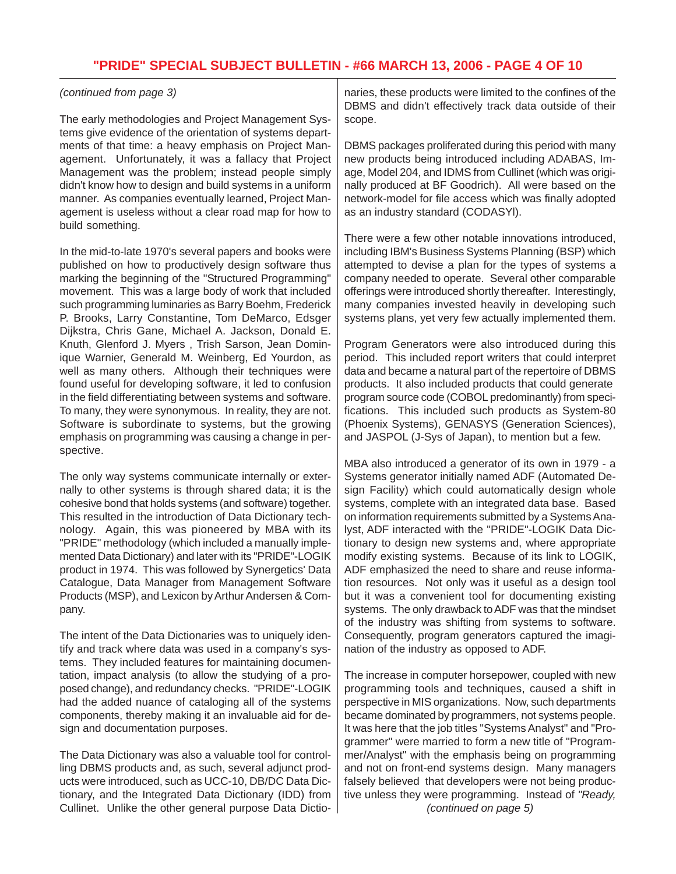### *(continued from page 3)*

The early methodologies and Project Management Systems give evidence of the orientation of systems departments of that time: a heavy emphasis on Project Management. Unfortunately, it was a fallacy that Project Management was the problem; instead people simply didn't know how to design and build systems in a uniform manner. As companies eventually learned, Project Management is useless without a clear road map for how to build something.

In the mid-to-late 1970's several papers and books were published on how to productively design software thus marking the beginning of the "Structured Programming" movement. This was a large body of work that included such programming luminaries as Barry Boehm, Frederick P. Brooks, Larry Constantine, Tom DeMarco, Edsger Dijkstra, Chris Gane, Michael A. Jackson, Donald E. Knuth, Glenford J. Myers , Trish Sarson, Jean Dominique Warnier, Generald M. Weinberg, Ed Yourdon, as well as many others. Although their techniques were found useful for developing software, it led to confusion in the field differentiating between systems and software. To many, they were synonymous. In reality, they are not. Software is subordinate to systems, but the growing emphasis on programming was causing a change in perspective.

The only way systems communicate internally or externally to other systems is through shared data; it is the cohesive bond that holds systems (and software) together. This resulted in the introduction of Data Dictionary technology. Again, this was pioneered by MBA with its "PRIDE" methodology (which included a manually implemented Data Dictionary) and later with its "PRIDE"-LOGIK product in 1974. This was followed by Synergetics' Data Catalogue, Data Manager from Management Software Products (MSP), and Lexicon by Arthur Andersen & Company.

The intent of the Data Dictionaries was to uniquely identify and track where data was used in a company's systems. They included features for maintaining documentation, impact analysis (to allow the studying of a proposed change), and redundancy checks. "PRIDE"-LOGIK had the added nuance of cataloging all of the systems components, thereby making it an invaluable aid for design and documentation purposes.

The Data Dictionary was also a valuable tool for controlling DBMS products and, as such, several adjunct products were introduced, such as UCC-10, DB/DC Data Dictionary, and the Integrated Data Dictionary (IDD) from Cullinet. Unlike the other general purpose Data Dictionaries, these products were limited to the confines of the DBMS and didn't effectively track data outside of their scope.

DBMS packages proliferated during this period with many new products being introduced including ADABAS, Image, Model 204, and IDMS from Cullinet (which was originally produced at BF Goodrich). All were based on the network-model for file access which was finally adopted as an industry standard (CODASYl).

There were a few other notable innovations introduced, including IBM's Business Systems Planning (BSP) which attempted to devise a plan for the types of systems a company needed to operate. Several other comparable offerings were introduced shortly thereafter. Interestingly, many companies invested heavily in developing such systems plans, yet very few actually implemented them.

Program Generators were also introduced during this period. This included report writers that could interpret data and became a natural part of the repertoire of DBMS products. It also included products that could generate program source code (COBOL predominantly) from specifications. This included such products as System-80 (Phoenix Systems), GENASYS (Generation Sciences), and JASPOL (J-Sys of Japan), to mention but a few.

MBA also introduced a generator of its own in 1979 - a Systems generator initially named ADF (Automated Design Facility) which could automatically design whole systems, complete with an integrated data base. Based on information requirements submitted by a Systems Analyst, ADF interacted with the "PRIDE"-LOGIK Data Dictionary to design new systems and, where appropriate modify existing systems. Because of its link to LOGIK, ADF emphasized the need to share and reuse information resources. Not only was it useful as a design tool but it was a convenient tool for documenting existing systems. The only drawback to ADF was that the mindset of the industry was shifting from systems to software. Consequently, program generators captured the imagination of the industry as opposed to ADF.

The increase in computer horsepower, coupled with new programming tools and techniques, caused a shift in perspective in MIS organizations. Now, such departments became dominated by programmers, not systems people. It was here that the job titles "Systems Analyst" and "Programmer" were married to form a new title of "Programmer/Analyst" with the emphasis being on programming and not on front-end systems design. Many managers falsely believed that developers were not being productive unless they were programming. Instead of *"Ready, (continued on page 5)*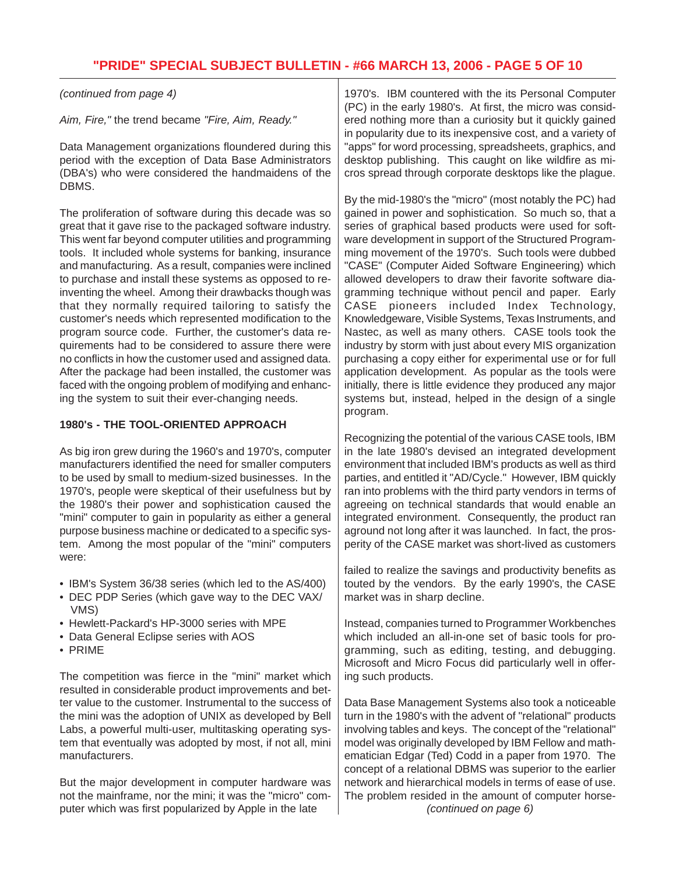*(continued from page 4)*

*Aim, Fire,"* the trend became *"Fire, Aim, Ready."*

Data Management organizations floundered during this period with the exception of Data Base Administrators (DBA's) who were considered the handmaidens of the DBMS.

The proliferation of software during this decade was so great that it gave rise to the packaged software industry. This went far beyond computer utilities and programming tools. It included whole systems for banking, insurance and manufacturing. As a result, companies were inclined to purchase and install these systems as opposed to reinventing the wheel. Among their drawbacks though was that they normally required tailoring to satisfy the customer's needs which represented modification to the program source code. Further, the customer's data requirements had to be considered to assure there were no conflicts in how the customer used and assigned data. After the package had been installed, the customer was faced with the ongoing problem of modifying and enhancing the system to suit their ever-changing needs.

## **1980's - THE TOOL-ORIENTED APPROACH**

As big iron grew during the 1960's and 1970's, computer manufacturers identified the need for smaller computers to be used by small to medium-sized businesses. In the 1970's, people were skeptical of their usefulness but by the 1980's their power and sophistication caused the "mini" computer to gain in popularity as either a general purpose business machine or dedicated to a specific system. Among the most popular of the "mini" computers were:

- IBM's System 36/38 series (which led to the AS/400)
- DEC PDP Series (which gave way to the DEC VAX/ VMS)
- Hewlett-Packard's HP-3000 series with MPE
- Data General Eclipse series with AOS
- PRIME

The competition was fierce in the "mini" market which resulted in considerable product improvements and better value to the customer. Instrumental to the success of the mini was the adoption of UNIX as developed by Bell Labs, a powerful multi-user, multitasking operating system that eventually was adopted by most, if not all, mini manufacturers.

But the major development in computer hardware was not the mainframe, nor the mini; it was the "micro" computer which was first popularized by Apple in the late

1970's. IBM countered with the its Personal Computer (PC) in the early 1980's. At first, the micro was considered nothing more than a curiosity but it quickly gained in popularity due to its inexpensive cost, and a variety of "apps" for word processing, spreadsheets, graphics, and desktop publishing. This caught on like wildfire as micros spread through corporate desktops like the plague.

By the mid-1980's the "micro" (most notably the PC) had gained in power and sophistication. So much so, that a series of graphical based products were used for software development in support of the Structured Programming movement of the 1970's. Such tools were dubbed "CASE" (Computer Aided Software Engineering) which allowed developers to draw their favorite software diagramming technique without pencil and paper. Early CASE pioneers included Index Technology, Knowledgeware, Visible Systems, Texas Instruments, and Nastec, as well as many others. CASE tools took the industry by storm with just about every MIS organization purchasing a copy either for experimental use or for full application development. As popular as the tools were initially, there is little evidence they produced any major systems but, instead, helped in the design of a single program.

Recognizing the potential of the various CASE tools, IBM in the late 1980's devised an integrated development environment that included IBM's products as well as third parties, and entitled it "AD/Cycle." However, IBM quickly ran into problems with the third party vendors in terms of agreeing on technical standards that would enable an integrated environment. Consequently, the product ran aground not long after it was launched. In fact, the prosperity of the CASE market was short-lived as customers

failed to realize the savings and productivity benefits as touted by the vendors. By the early 1990's, the CASE market was in sharp decline.

Instead, companies turned to Programmer Workbenches which included an all-in-one set of basic tools for programming, such as editing, testing, and debugging. Microsoft and Micro Focus did particularly well in offering such products.

Data Base Management Systems also took a noticeable turn in the 1980's with the advent of "relational" products involving tables and keys. The concept of the "relational" model was originally developed by IBM Fellow and mathematician Edgar (Ted) Codd in a paper from 1970. The concept of a relational DBMS was superior to the earlier network and hierarchical models in terms of ease of use. The problem resided in the amount of computer horse- *(continued on page 6)*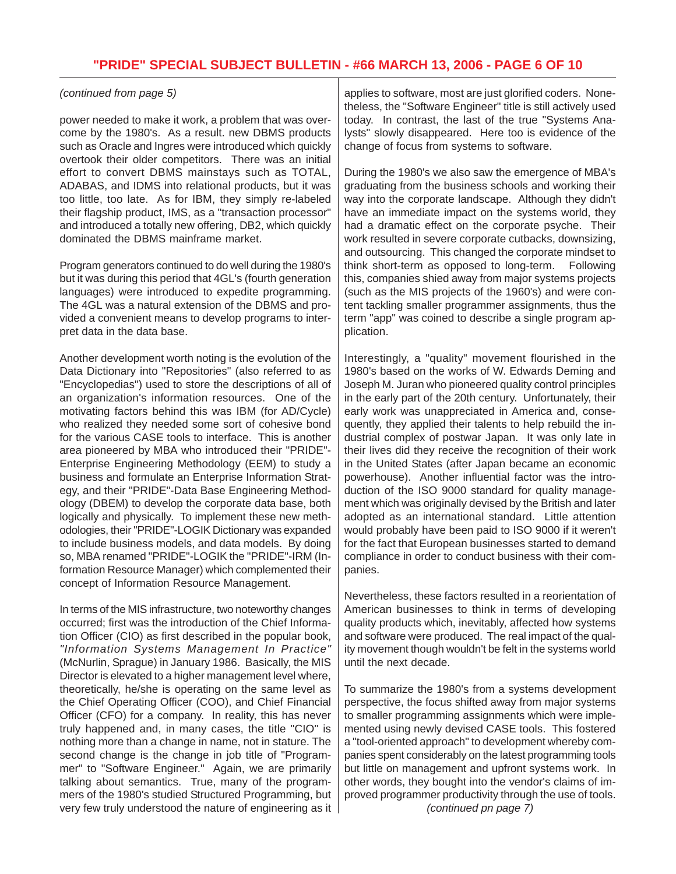### *(continued from page 5)*

power needed to make it work, a problem that was overcome by the 1980's. As a result. new DBMS products such as Oracle and Ingres were introduced which quickly overtook their older competitors. There was an initial effort to convert DBMS mainstays such as TOTAL, ADABAS, and IDMS into relational products, but it was too little, too late. As for IBM, they simply re-labeled their flagship product, IMS, as a "transaction processor" and introduced a totally new offering, DB2, which quickly dominated the DBMS mainframe market.

Program generators continued to do well during the 1980's but it was during this period that 4GL's (fourth generation languages) were introduced to expedite programming. The 4GL was a natural extension of the DBMS and provided a convenient means to develop programs to interpret data in the data base.

Another development worth noting is the evolution of the Data Dictionary into "Repositories" (also referred to as "Encyclopedias") used to store the descriptions of all of an organization's information resources. One of the motivating factors behind this was IBM (for AD/Cycle) who realized they needed some sort of cohesive bond for the various CASE tools to interface. This is another area pioneered by MBA who introduced their "PRIDE"- Enterprise Engineering Methodology (EEM) to study a business and formulate an Enterprise Information Strategy, and their "PRIDE"-Data Base Engineering Methodology (DBEM) to develop the corporate data base, both logically and physically. To implement these new methodologies, their "PRIDE"-LOGIK Dictionary was expanded to include business models, and data models. By doing so, MBA renamed "PRIDE"-LOGIK the "PRIDE"-IRM (Information Resource Manager) which complemented their concept of Information Resource Management.

In terms of the MIS infrastructure, two noteworthy changes occurred; first was the introduction of the Chief Information Officer (CIO) as first described in the popular book, *"Information Systems Management In Practice"* (McNurlin, Sprague) in January 1986. Basically, the MIS Director is elevated to a higher management level where, theoretically, he/she is operating on the same level as the Chief Operating Officer (COO), and Chief Financial Officer (CFO) for a company. In reality, this has never truly happened and, in many cases, the title "CIO" is nothing more than a change in name, not in stature. The second change is the change in job title of "Programmer" to "Software Engineer." Again, we are primarily talking about semantics. True, many of the programmers of the 1980's studied Structured Programming, but very few truly understood the nature of engineering as it applies to software, most are just glorified coders. Nonetheless, the "Software Engineer" title is still actively used today. In contrast, the last of the true "Systems Analysts" slowly disappeared. Here too is evidence of the change of focus from systems to software.

During the 1980's we also saw the emergence of MBA's graduating from the business schools and working their way into the corporate landscape. Although they didn't have an immediate impact on the systems world, they had a dramatic effect on the corporate psyche. Their work resulted in severe corporate cutbacks, downsizing, and outsourcing. This changed the corporate mindset to think short-term as opposed to long-term. Following this, companies shied away from major systems projects (such as the MIS projects of the 1960's) and were content tackling smaller programmer assignments, thus the term "app" was coined to describe a single program application.

Interestingly, a "quality" movement flourished in the 1980's based on the works of W. Edwards Deming and Joseph M. Juran who pioneered quality control principles in the early part of the 20th century. Unfortunately, their early work was unappreciated in America and, consequently, they applied their talents to help rebuild the industrial complex of postwar Japan. It was only late in their lives did they receive the recognition of their work in the United States (after Japan became an economic powerhouse). Another influential factor was the introduction of the ISO 9000 standard for quality management which was originally devised by the British and later adopted as an international standard. Little attention would probably have been paid to ISO 9000 if it weren't for the fact that European businesses started to demand compliance in order to conduct business with their companies.

Nevertheless, these factors resulted in a reorientation of American businesses to think in terms of developing quality products which, inevitably, affected how systems and software were produced. The real impact of the quality movement though wouldn't be felt in the systems world until the next decade.

To summarize the 1980's from a systems development perspective, the focus shifted away from major systems to smaller programming assignments which were implemented using newly devised CASE tools. This fostered a "tool-oriented approach" to development whereby companies spent considerably on the latest programming tools but little on management and upfront systems work. In other words, they bought into the vendor's claims of improved programmer productivity through the use of tools. *(continued pn page 7)*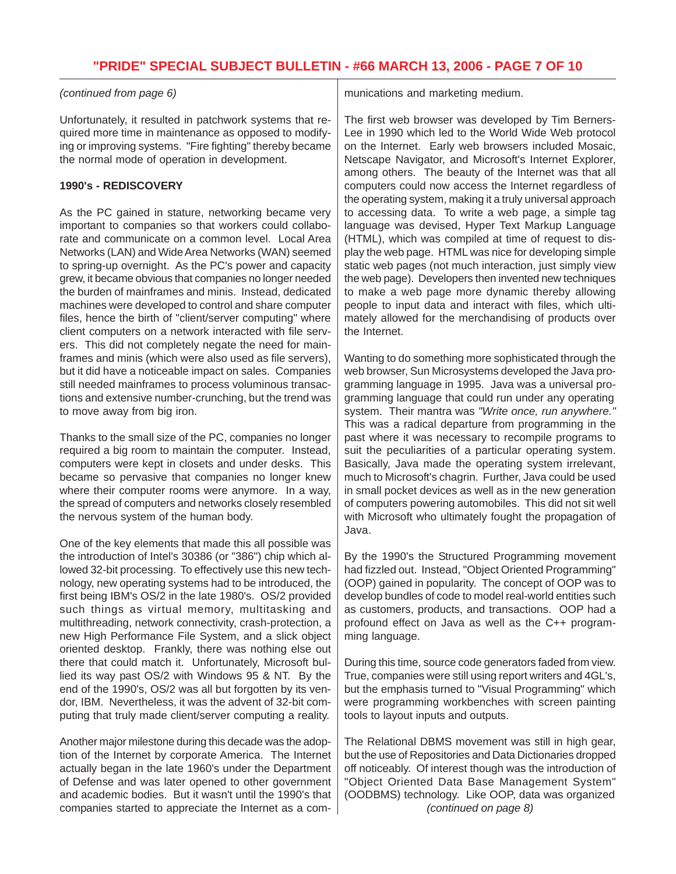# **"PRIDE" SPECIAL SUBJECT BULLETIN - #66 MARCH 13, 2006 - PAGE 7 OF 10**

### *(continued from page 6)*

Unfortunately, it resulted in patchwork systems that required more time in maintenance as opposed to modifying or improving systems. "Fire fighting" thereby became the normal mode of operation in development.

### **1990's - REDISCOVERY**

As the PC gained in stature, networking became very important to companies so that workers could collaborate and communicate on a common level. Local Area Networks (LAN) and Wide Area Networks (WAN) seemed to spring-up overnight. As the PC's power and capacity grew, it became obvious that companies no longer needed the burden of mainframes and minis. Instead, dedicated machines were developed to control and share computer files, hence the birth of "client/server computing" where client computers on a network interacted with file servers. This did not completely negate the need for mainframes and minis (which were also used as file servers), but it did have a noticeable impact on sales. Companies still needed mainframes to process voluminous transactions and extensive number-crunching, but the trend was to move away from big iron.

Thanks to the small size of the PC, companies no longer required a big room to maintain the computer. Instead, computers were kept in closets and under desks. This became so pervasive that companies no longer knew where their computer rooms were anymore. In a way, the spread of computers and networks closely resembled the nervous system of the human body.

One of the key elements that made this all possible was the introduction of Intel's 30386 (or "386") chip which allowed 32-bit processing. To effectively use this new technology, new operating systems had to be introduced, the first being IBM's OS/2 in the late 1980's. OS/2 provided such things as virtual memory, multitasking and multithreading, network connectivity, crash-protection, a new High Performance File System, and a slick object oriented desktop. Frankly, there was nothing else out there that could match it. Unfortunately, Microsoft bullied its way past OS/2 with Windows 95 & NT. By the end of the 1990's, OS/2 was all but forgotten by its vendor, IBM. Nevertheless, it was the advent of 32-bit computing that truly made client/server computing a reality.

Another major milestone during this decade was the adoption of the Internet by corporate America. The Internet actually began in the late 1960's under the Department of Defense and was later opened to other government and academic bodies. But it wasn't until the 1990's that companies started to appreciate the Internet as a communications and marketing medium.

The first web browser was developed by Tim Berners-Lee in 1990 which led to the World Wide Web protocol on the Internet. Early web browsers included Mosaic, Netscape Navigator, and Microsoft's Internet Explorer, among others. The beauty of the Internet was that all computers could now access the Internet regardless of the operating system, making it a truly universal approach to accessing data. To write a web page, a simple tag language was devised, Hyper Text Markup Language (HTML), which was compiled at time of request to display the web page. HTML was nice for developing simple static web pages (not much interaction, just simply view the web page). Developers then invented new techniques to make a web page more dynamic thereby allowing people to input data and interact with files, which ultimately allowed for the merchandising of products over the Internet.

Wanting to do something more sophisticated through the web browser, Sun Microsystems developed the Java programming language in 1995. Java was a universal programming language that could run under any operating system. Their mantra was *"Write once, run anywhere."* This was a radical departure from programming in the past where it was necessary to recompile programs to suit the peculiarities of a particular operating system. Basically, Java made the operating system irrelevant, much to Microsoft's chagrin. Further, Java could be used in small pocket devices as well as in the new generation of computers powering automobiles. This did not sit well with Microsoft who ultimately fought the propagation of Java.

By the 1990's the Structured Programming movement had fizzled out. Instead, "Object Oriented Programming" (OOP) gained in popularity. The concept of OOP was to develop bundles of code to model real-world entities such as customers, products, and transactions. OOP had a profound effect on Java as well as the C++ programming language.

During this time, source code generators faded from view. True, companies were still using report writers and 4GL's, but the emphasis turned to "Visual Programming" which were programming workbenches with screen painting tools to layout inputs and outputs.

The Relational DBMS movement was still in high gear, but the use of Repositories and Data Dictionaries dropped off noticeably. Of interest though was the introduction of "Object Oriented Data Base Management System" (OODBMS) technology. Like OOP, data was organized *(continued on page 8)*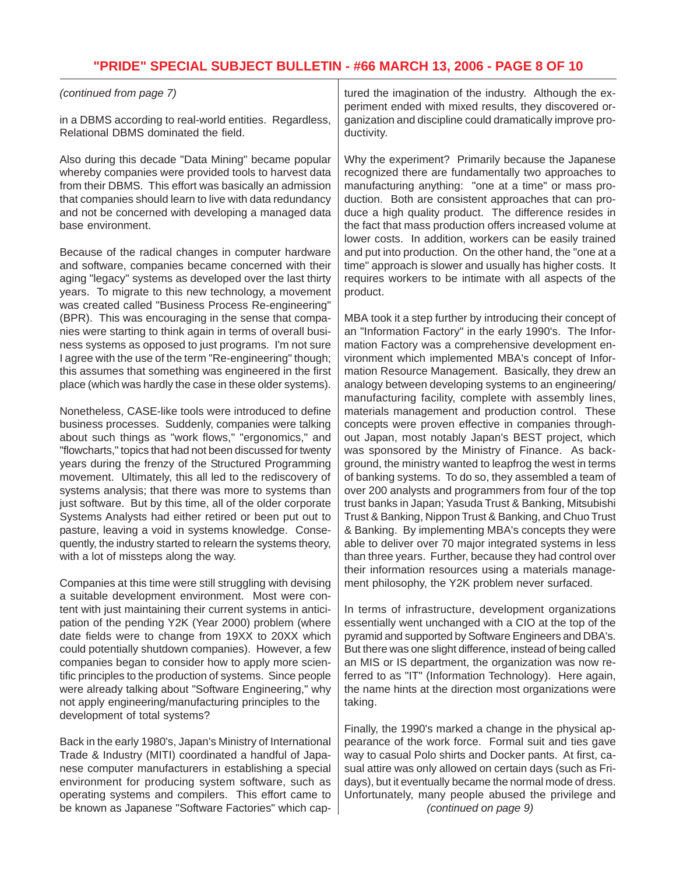### *(continued from page 7)*

in a DBMS according to real-world entities. Regardless, Relational DBMS dominated the field.

Also during this decade "Data Mining" became popular whereby companies were provided tools to harvest data from their DBMS. This effort was basically an admission that companies should learn to live with data redundancy and not be concerned with developing a managed data base environment.

Because of the radical changes in computer hardware and software, companies became concerned with their aging "legacy" systems as developed over the last thirty years. To migrate to this new technology, a movement was created called "Business Process Re-engineering" (BPR). This was encouraging in the sense that companies were starting to think again in terms of overall business systems as opposed to just programs. I'm not sure I agree with the use of the term "Re-engineering" though; this assumes that something was engineered in the first place (which was hardly the case in these older systems).

Nonetheless, CASE-like tools were introduced to define business processes. Suddenly, companies were talking about such things as "work flows," "ergonomics," and "flowcharts," topics that had not been discussed for twenty years during the frenzy of the Structured Programming movement. Ultimately, this all led to the rediscovery of systems analysis; that there was more to systems than just software. But by this time, all of the older corporate Systems Analysts had either retired or been put out to pasture, leaving a void in systems knowledge. Consequently, the industry started to relearn the systems theory, with a lot of missteps along the way.

Companies at this time were still struggling with devising a suitable development environment. Most were content with just maintaining their current systems in anticipation of the pending Y2K (Year 2000) problem (where date fields were to change from 19XX to 20XX which could potentially shutdown companies). However, a few companies began to consider how to apply more scientific principles to the production of systems. Since people were already talking about "Software Engineering," why not apply engineering/manufacturing principles to the development of total systems?

Back in the early 1980's, Japan's Ministry of International Trade & Industry (MITI) coordinated a handful of Japanese computer manufacturers in establishing a special environment for producing system software, such as operating systems and compilers. This effort came to be known as Japanese "Software Factories" which cap-

tured the imagination of the industry. Although the experiment ended with mixed results, they discovered organization and discipline could dramatically improve productivity.

Why the experiment? Primarily because the Japanese recognized there are fundamentally two approaches to manufacturing anything: "one at a time" or mass production. Both are consistent approaches that can produce a high quality product. The difference resides in the fact that mass production offers increased volume at lower costs. In addition, workers can be easily trained and put into production. On the other hand, the "one at a time" approach is slower and usually has higher costs. It requires workers to be intimate with all aspects of the product.

MBA took it a step further by introducing their concept of an "Information Factory" in the early 1990's. The Information Factory was a comprehensive development environment which implemented MBA's concept of Information Resource Management. Basically, they drew an analogy between developing systems to an engineering/ manufacturing facility, complete with assembly lines, materials management and production control. These concepts were proven effective in companies throughout Japan, most notably Japan's BEST project, which was sponsored by the Ministry of Finance. As background, the ministry wanted to leapfrog the west in terms of banking systems. To do so, they assembled a team of over 200 analysts and programmers from four of the top trust banks in Japan; Yasuda Trust & Banking, Mitsubishi Trust & Banking, Nippon Trust & Banking, and Chuo Trust & Banking. By implementing MBA's concepts they were able to deliver over 70 major integrated systems in less than three years. Further, because they had control over their information resources using a materials management philosophy, the Y2K problem never surfaced.

In terms of infrastructure, development organizations essentially went unchanged with a CIO at the top of the pyramid and supported by Software Engineers and DBA's. But there was one slight difference, instead of being called an MIS or IS department, the organization was now referred to as "IT" (Information Technology). Here again, the name hints at the direction most organizations were taking.

Finally, the 1990's marked a change in the physical appearance of the work force. Formal suit and ties gave way to casual Polo shirts and Docker pants. At first, casual attire was only allowed on certain days (such as Fridays), but it eventually became the normal mode of dress. Unfortunately, many people abused the privilege and *(continued on page 9)*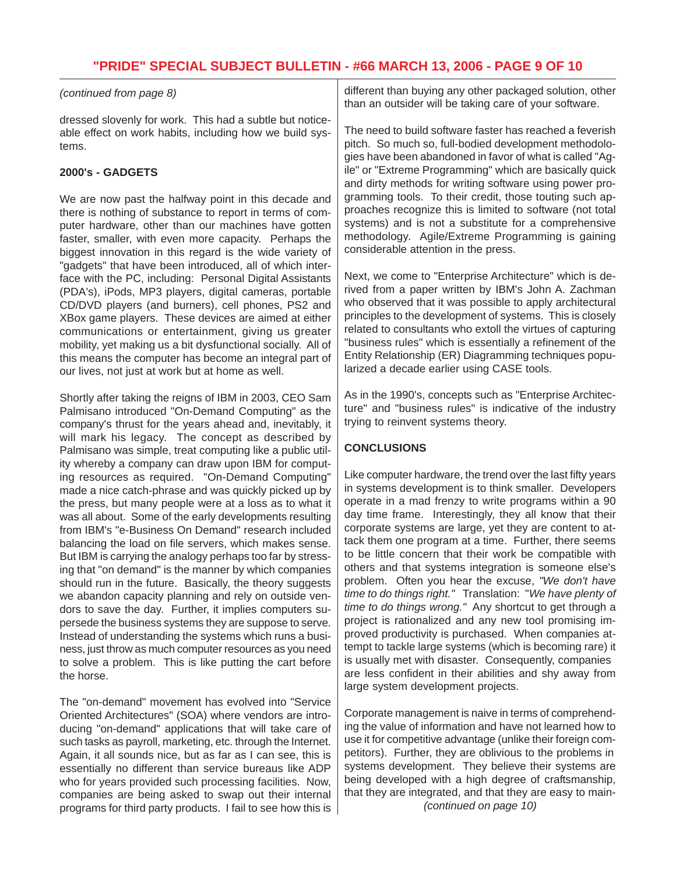## **"PRIDE" SPECIAL SUBJECT BULLETIN - #66 MARCH 13, 2006 - PAGE 9 OF 10**

### *(continued from page 8)*

dressed slovenly for work. This had a subtle but noticeable effect on work habits, including how we build systems.

### **2000's - GADGETS**

We are now past the halfway point in this decade and there is nothing of substance to report in terms of computer hardware, other than our machines have gotten faster, smaller, with even more capacity. Perhaps the biggest innovation in this regard is the wide variety of "gadgets" that have been introduced, all of which interface with the PC, including: Personal Digital Assistants (PDA's), iPods, MP3 players, digital cameras, portable CD/DVD players (and burners), cell phones, PS2 and XBox game players. These devices are aimed at either communications or entertainment, giving us greater mobility, yet making us a bit dysfunctional socially. All of this means the computer has become an integral part of our lives, not just at work but at home as well.

Shortly after taking the reigns of IBM in 2003, CEO Sam Palmisano introduced "On-Demand Computing" as the company's thrust for the years ahead and, inevitably, it will mark his legacy. The concept as described by Palmisano was simple, treat computing like a public utility whereby a company can draw upon IBM for computing resources as required. "On-Demand Computing" made a nice catch-phrase and was quickly picked up by the press, but many people were at a loss as to what it was all about. Some of the early developments resulting from IBM's "e-Business On Demand" research included balancing the load on file servers, which makes sense. But IBM is carrying the analogy perhaps too far by stressing that "on demand" is the manner by which companies should run in the future. Basically, the theory suggests we abandon capacity planning and rely on outside vendors to save the day. Further, it implies computers supersede the business systems they are suppose to serve. Instead of understanding the systems which runs a business, just throw as much computer resources as you need to solve a problem. This is like putting the cart before the horse.

The "on-demand" movement has evolved into "Service Oriented Architectures" (SOA) where vendors are introducing "on-demand" applications that will take care of such tasks as payroll, marketing, etc. through the Internet. Again, it all sounds nice, but as far as I can see, this is essentially no different than service bureaus like ADP who for years provided such processing facilities. Now, companies are being asked to swap out their internal programs for third party products. I fail to see how this is different than buying any other packaged solution, other than an outsider will be taking care of your software.

The need to build software faster has reached a feverish pitch. So much so, full-bodied development methodologies have been abandoned in favor of what is called "Agile" or "Extreme Programming" which are basically quick and dirty methods for writing software using power programming tools. To their credit, those touting such approaches recognize this is limited to software (not total systems) and is not a substitute for a comprehensive methodology. Agile/Extreme Programming is gaining considerable attention in the press.

Next, we come to "Enterprise Architecture" which is derived from a paper written by IBM's John A. Zachman who observed that it was possible to apply architectural principles to the development of systems. This is closely related to consultants who extoll the virtues of capturing "business rules" which is essentially a refinement of the Entity Relationship (ER) Diagramming techniques popularized a decade earlier using CASE tools.

As in the 1990's, concepts such as "Enterprise Architecture" and "business rules" is indicative of the industry trying to reinvent systems theory.

## **CONCLUSIONS**

Like computer hardware, the trend over the last fifty years in systems development is to think smaller. Developers operate in a mad frenzy to write programs within a 90 day time frame. Interestingly, they all know that their corporate systems are large, yet they are content to attack them one program at a time. Further, there seems to be little concern that their work be compatible with others and that systems integration is someone else's problem. Often you hear the excuse, *"We don't have time to do things right."* Translation: "*We have plenty of time to do things wrong."* Any shortcut to get through a project is rationalized and any new tool promising improved productivity is purchased. When companies attempt to tackle large systems (which is becoming rare) it is usually met with disaster. Consequently, companies are less confident in their abilities and shy away from large system development projects.

Corporate management is naive in terms of comprehending the value of information and have not learned how to use it for competitive advantage (unlike their foreign competitors). Further, they are oblivious to the problems in systems development. They believe their systems are being developed with a high degree of craftsmanship, that they are integrated, and that they are easy to main- *(continued on page 10)*